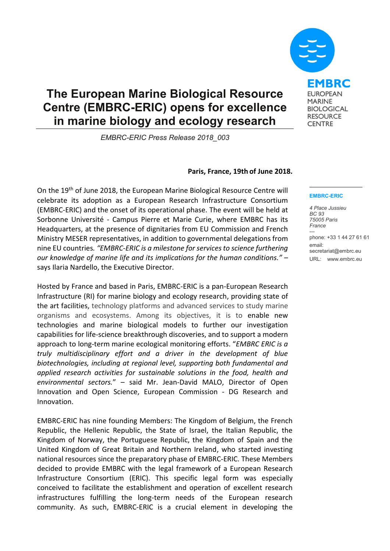## **The European Marine Biological Resource Centre (EMBRC-ERIC) opens for excellence in marine biology and ecology research**

*EMBRC-ERIC Press Release 2018\_003*

## **Paris, France, 19th of June 2018.**

On the 19<sup>th</sup> of June 2018, the European Marine Biological Resource Centre will celebrate its adoption as a European Research Infrastructure Consortium (EMBRC-ERIC) and the onset of its operational phase. The event will be held at Sorbonne Université - Campus Pierre et Marie Curie, where EMBRC has its Headquarters, at the presence of dignitaries from EU Commission and French Ministry MESER representatives, in addition to governmental delegations from nine EU countries*. "EMBRC-ERIC is a milestone for services to science furthering our knowledge of marine life and its implications for the human conditions."* – says Ilaria Nardello, the Executive Director.

Hosted by France and based in Paris, EMBRC-ERIC is a pan-European Research Infrastructure (RI) for marine biology and ecology research, providing state of the art facilities, technology platforms and advanced services to study marine organisms and ecosystems. Among its objectives, it is to enable new technologies and marine biological models to further our investigation capabilities for life-science breakthrough discoveries, and to support a modern approach to long-term marine ecological monitoring efforts. "*EMBRC ERIC is a truly multidisciplinary effort and a driver in the development of blue biotechnologies, including at regional level, supporting both fundamental and applied research activities for sustainable solutions in the food, health and environmental sectors.*" – said Mr. Jean-David MALO, Director of Open Innovation and Open Science, European Commission - DG Research and Innovation.

EMBRC-ERIC has nine founding Members: The Kingdom of Belgium, the French Republic, the Hellenic Republic, the State of Israel, the Italian Republic, the Kingdom of Norway, the Portuguese Republic, the Kingdom of Spain and the United Kingdom of Great Britain and Northern Ireland, who started investing national resources since the preparatory phase of EMBRC-ERIC. These Members decided to provide EMBRC with the legal framework of a European Research Infrastructure Consortium (ERIC). This specific legal form was especially conceived to facilitate the establishment and operation of excellent research infrastructures fulfilling the long-term needs of the European research community. As such, EMBRC-ERIC is a crucial element in developing the

## **EMBRC-ERIC**

*4 Place Jussieu BC 93 75005 Paris France* -- phone: +33 1 44 27 61 61 email: secretariat@embrc.eu URL: www.embrc.eu